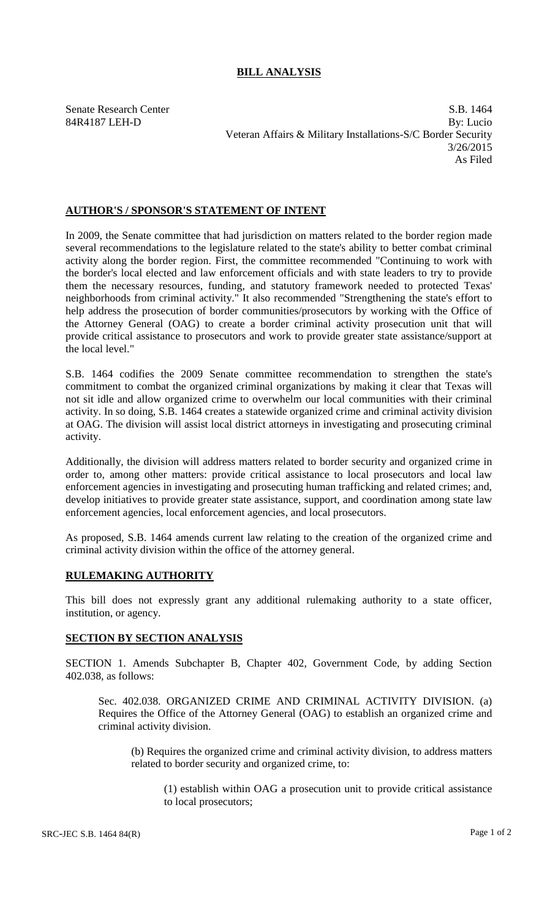## **BILL ANALYSIS**

Senate Research Center S.B. 1464 84R4187 LEH-D By: Lucio Veteran Affairs & Military Installations-S/C Border Security 3/26/2015 As Filed

## **AUTHOR'S / SPONSOR'S STATEMENT OF INTENT**

In 2009, the Senate committee that had jurisdiction on matters related to the border region made several recommendations to the legislature related to the state's ability to better combat criminal activity along the border region. First, the committee recommended "Continuing to work with the border's local elected and law enforcement officials and with state leaders to try to provide them the necessary resources, funding, and statutory framework needed to protected Texas' neighborhoods from criminal activity." It also recommended "Strengthening the state's effort to help address the prosecution of border communities/prosecutors by working with the Office of the Attorney General (OAG) to create a border criminal activity prosecution unit that will provide critical assistance to prosecutors and work to provide greater state assistance/support at the local level."

S.B. 1464 codifies the 2009 Senate committee recommendation to strengthen the state's commitment to combat the organized criminal organizations by making it clear that Texas will not sit idle and allow organized crime to overwhelm our local communities with their criminal activity. In so doing, S.B. 1464 creates a statewide organized crime and criminal activity division at OAG. The division will assist local district attorneys in investigating and prosecuting criminal activity.

Additionally, the division will address matters related to border security and organized crime in order to, among other matters: provide critical assistance to local prosecutors and local law enforcement agencies in investigating and prosecuting human trafficking and related crimes; and, develop initiatives to provide greater state assistance, support, and coordination among state law enforcement agencies, local enforcement agencies, and local prosecutors.

As proposed, S.B. 1464 amends current law relating to the creation of the organized crime and criminal activity division within the office of the attorney general.

## **RULEMAKING AUTHORITY**

This bill does not expressly grant any additional rulemaking authority to a state officer, institution, or agency.

## **SECTION BY SECTION ANALYSIS**

SECTION 1. Amends Subchapter B, Chapter 402, Government Code, by adding Section 402.038, as follows:

Sec. 402.038. ORGANIZED CRIME AND CRIMINAL ACTIVITY DIVISION. (a) Requires the Office of the Attorney General (OAG) to establish an organized crime and criminal activity division.

(b) Requires the organized crime and criminal activity division, to address matters related to border security and organized crime, to:

(1) establish within OAG a prosecution unit to provide critical assistance to local prosecutors;